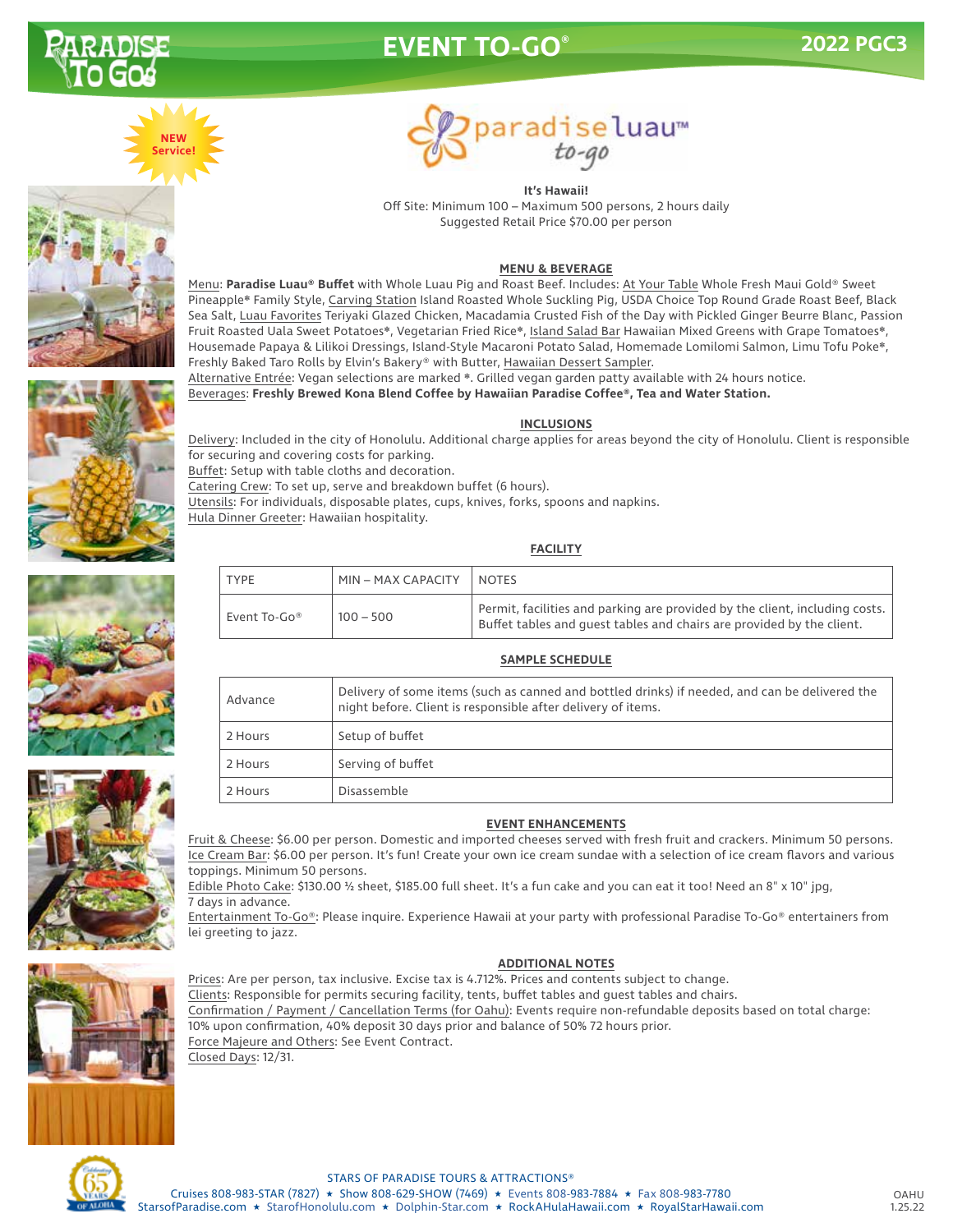

## **EVENT TO-GO® 2022 PGC3**







**It's Hawaii!**

Off Site: Minimum 100 – Maximum 500 persons, 2 hours daily Suggested Retail Price \$70.00 per person

#### **MENU & BEVERAGE**

Menu: **Paradise Luau® Buffet** with Whole Luau Pig and Roast Beef. Includes: At Your Table Whole Fresh Maui Gold® Sweet Pineapple❋ Family Style, Carving Station Island Roasted Whole Suckling Pig, USDA Choice Top Round Grade Roast Beef, Black Sea Salt, Luau Favorites Teriyaki Glazed Chicken, Macadamia Crusted Fish of the Day with Pickled Ginger Beurre Blanc, Passion Fruit Roasted Uala Sweet Potatoes❋, Vegetarian Fried Rice❋, Island Salad Bar Hawaiian Mixed Greens with Grape Tomatoes❋, Housemade Papaya & Lilikoi Dressings, Island-Style Macaroni Potato Salad, Homemade Lomilomi Salmon, Limu Tofu Poke❋, Freshly Baked Taro Rolls by Elvin's Bakery® with Butter, Hawaiian Dessert Sampler.

Alternative Entrée: Vegan selections are marked ❋. Grilled vegan garden patty available with 24 hours notice.

Beverages: **Freshly Brewed Kona Blend Coffee by Hawaiian Paradise Coffee®, Tea and Water Station.**

#### **INCLUSIONS**

Delivery: Included in the city of Honolulu. Additional charge applies for areas beyond the city of Honolulu. Client is responsible for securing and covering costs for parking.

Buffet: Setup with table cloths and decoration.

Catering Crew: To set up, serve and breakdown buffet (6 hours).

Utensils: For individuals, disposable plates, cups, knives, forks, spoons and napkins.

Hula Dinner Greeter: Hawaiian hospitality.

#### **FACILITY**

| TYPE         | MIN - MAX CAPACITY | <b>NOTES</b>                                                                                                                                         |
|--------------|--------------------|------------------------------------------------------------------------------------------------------------------------------------------------------|
| Event To-Go® | $100 - 500$        | Permit, facilities and parking are provided by the client, including costs.<br>Buffet tables and quest tables and chairs are provided by the client. |

#### **SAMPLE SCHEDULE**

| Advance | Delivery of some items (such as canned and bottled drinks) if needed, and can be delivered the<br>night before. Client is responsible after delivery of items. |  |
|---------|----------------------------------------------------------------------------------------------------------------------------------------------------------------|--|
| 2 Hours | Setup of buffet                                                                                                                                                |  |
| 2 Hours | Serving of buffet                                                                                                                                              |  |
| 2 Hours | Disassemble                                                                                                                                                    |  |

#### **EVENT ENHANCEMENTS**

Fruit & Cheese: \$6.00 per person. Domestic and imported cheeses served with fresh fruit and crackers. Minimum 50 persons. Ice Cream Bar: \$6.00 per person. It's fun! Create your own ice cream sundae with a selection of ice cream flavors and various toppings. Minimum 50 persons.

Edible Photo Cake: \$130.00 ½ sheet, \$185.00 full sheet. It's a fun cake and you can eat it too! Need an 8" x 10" jpg, 7 days in advance.

Entertainment To-Go®: Please inquire. Experience Hawaii at your party with professional Paradise To-Go® entertainers from lei greeting to jazz.

#### **ADDITIONAL NOTES**

Prices: Are per person, tax inclusive. Excise tax is 4.712%. Prices and contents subject to change. Clients: Responsible for permits securing facility, tents, buffet tables and guest tables and chairs. Confirmation / Payment / Cancellation Terms (for Oahu): Events require non-refundable deposits based on total charge: 10% upon confirmation, 40% deposit 30 days prior and balance of 50% 72 hours prior. Force Majeure and Others: See Event Contract. Closed Days: 12/31.